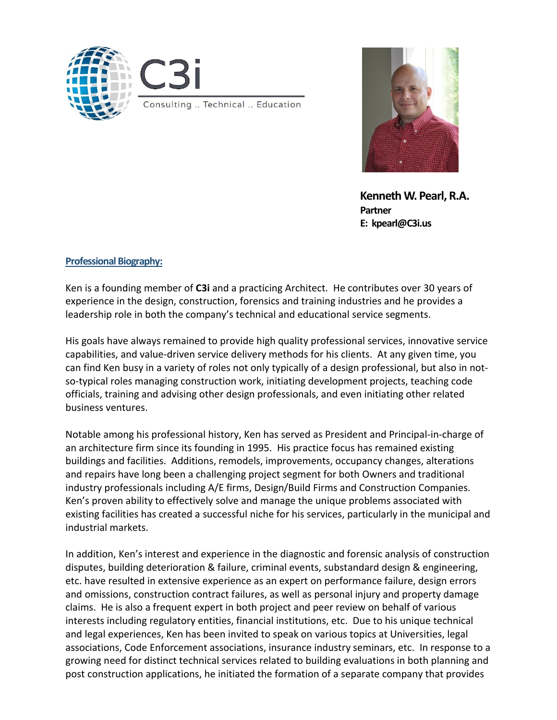



Kenneth W. Pearl, R.A. Partner E: kpearl@C3i.us

### Professional Biography:

Ken is a founding member of C3i and a practicing Architect. He contributes over 30 years of experience in the design, construction, forensics and training industries and he provides a leadership role in both the company's technical and educational service segments.

His goals have always remained to provide high quality professional services, innovative service capabilities, and value-driven service delivery methods for his clients. At any given time, you can find Ken busy in a variety of roles not only typically of a design professional, but also in notso-typical roles managing construction work, initiating development projects, teaching code officials, training and advising other design professionals, and even initiating other related business ventures.

Notable among his professional history, Ken has served as President and Principal-in-charge of an architecture firm since its founding in 1995. His practice focus has remained existing buildings and facilities. Additions, remodels, improvements, occupancy changes, alterations and repairs have long been a challenging project segment for both Owners and traditional industry professionals including A/E firms, Design/Build Firms and Construction Companies. Ken's proven ability to effectively solve and manage the unique problems associated with existing facilities has created a successful niche for his services, particularly in the municipal and industrial markets.

In addition, Ken's interest and experience in the diagnostic and forensic analysis of construction disputes, building deterioration & failure, criminal events, substandard design & engineering, etc. have resulted in extensive experience as an expert on performance failure, design errors and omissions, construction contract failures, as well as personal injury and property damage claims. He is also a frequent expert in both project and peer review on behalf of various interests including regulatory entities, financial institutions, etc. Due to his unique technical and legal experiences, Ken has been invited to speak on various topics at Universities, legal associations, Code Enforcement associations, insurance industry seminars, etc. In response to a growing need for distinct technical services related to building evaluations in both planning and post construction applications, he initiated the formation of a separate company that provides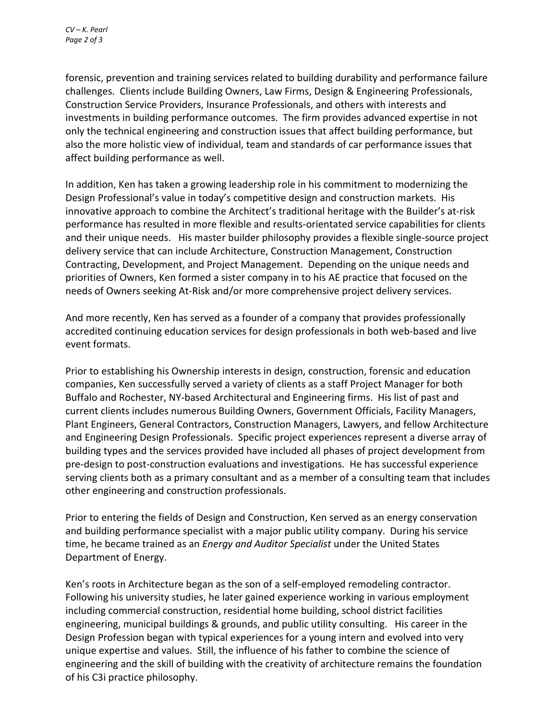forensic, prevention and training services related to building durability and performance failure challenges. Clients include Building Owners, Law Firms, Design & Engineering Professionals, Construction Service Providers, Insurance Professionals, and others with interests and investments in building performance outcomes. The firm provides advanced expertise in not only the technical engineering and construction issues that affect building performance, but also the more holistic view of individual, team and standards of car performance issues that affect building performance as well.

In addition, Ken has taken a growing leadership role in his commitment to modernizing the Design Professional's value in today's competitive design and construction markets. His innovative approach to combine the Architect's traditional heritage with the Builder's at-risk performance has resulted in more flexible and results-orientated service capabilities for clients and their unique needs. His master builder philosophy provides a flexible single-source project delivery service that can include Architecture, Construction Management, Construction Contracting, Development, and Project Management. Depending on the unique needs and priorities of Owners, Ken formed a sister company in to his AE practice that focused on the needs of Owners seeking At-Risk and/or more comprehensive project delivery services.

And more recently, Ken has served as a founder of a company that provides professionally accredited continuing education services for design professionals in both web-based and live event formats.

Prior to establishing his Ownership interests in design, construction, forensic and education companies, Ken successfully served a variety of clients as a staff Project Manager for both Buffalo and Rochester, NY-based Architectural and Engineering firms. His list of past and current clients includes numerous Building Owners, Government Officials, Facility Managers, Plant Engineers, General Contractors, Construction Managers, Lawyers, and fellow Architecture and Engineering Design Professionals. Specific project experiences represent a diverse array of building types and the services provided have included all phases of project development from pre-design to post-construction evaluations and investigations. He has successful experience serving clients both as a primary consultant and as a member of a consulting team that includes other engineering and construction professionals.

Prior to entering the fields of Design and Construction, Ken served as an energy conservation and building performance specialist with a major public utility company. During his service time, he became trained as an *Energy and Auditor Specialist* under the United States Department of Energy.

Ken's roots in Architecture began as the son of a self-employed remodeling contractor. Following his university studies, he later gained experience working in various employment including commercial construction, residential home building, school district facilities engineering, municipal buildings & grounds, and public utility consulting. His career in the Design Profession began with typical experiences for a young intern and evolved into very unique expertise and values. Still, the influence of his father to combine the science of engineering and the skill of building with the creativity of architecture remains the foundation of his C3i practice philosophy.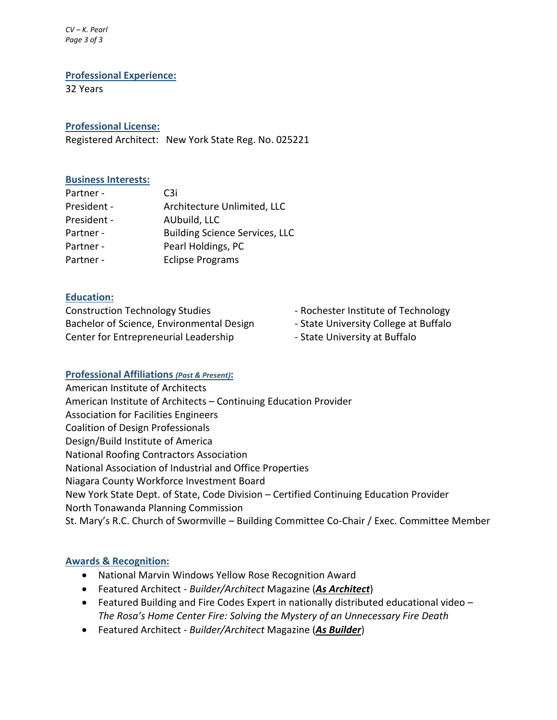*CV – K. Pearl Page 3 of 3*

#### Professional Experience:

32 Years

## Professional License:

Registered Architect: New York State Reg. No. 025221

### Business Interests:

| Partner -   | C3i                                   |
|-------------|---------------------------------------|
| President - | Architecture Unlimited, LLC           |
| President - | AUbuild, LLC                          |
| Partner -   | <b>Building Science Services, LLC</b> |
| Partner -   | Pearl Holdings, PC                    |
| Partner -   | <b>Eclipse Programs</b>               |

### Education:

Construction Technology Studies - Rochester Institute of Technology Bachelor of Science, Environmental Design - State University College at Buffalo Center for Entrepreneurial Leadership **Franklin** - State University at Buffalo

- 
- 
- 

# Professional Affiliations *(Past & Present)*:

American Institute of Architects American Institute of Architects – Continuing Education Provider Association for Facilities Engineers Coalition of Design Professionals Design/Build Institute of America National Roofing Contractors Association National Association of Industrial and Office Properties Niagara County Workforce Investment Board New York State Dept. of State, Code Division – Certified Continuing Education Provider North Tonawanda Planning Commission St. Mary's R.C. Church of Swormville – Building Committee Co-Chair / Exec. Committee Member

### Awards & Recognition:

- National Marvin Windows Yellow Rose Recognition Award
- Featured Architect *Builder/Architect* Magazine (*As Architect*)
- Featured Building and Fire Codes Expert in nationally distributed educational video *The Rosa's Home Center Fire: Solving the Mystery of an Unnecessary Fire Death*
- Featured Architect *Builder/Architect* Magazine (*As Builder*)